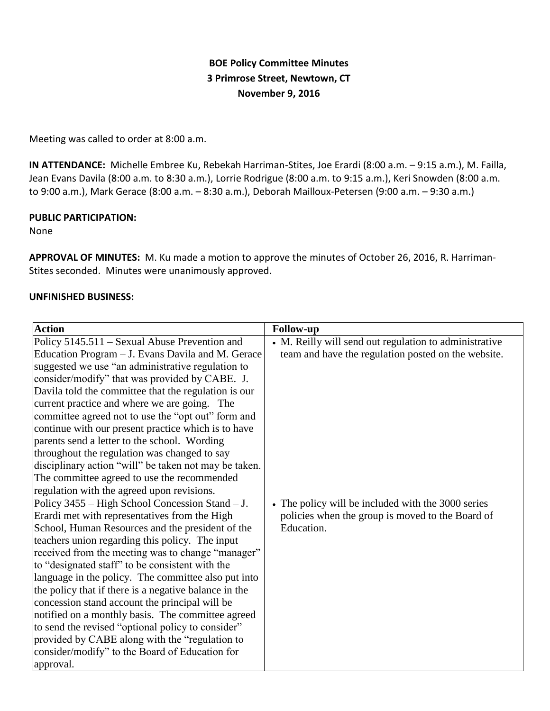# **BOE Policy Committee Minutes 3 Primrose Street, Newtown, CT November 9, 2016**

Meeting was called to order at 8:00 a.m.

**IN ATTENDANCE:** Michelle Embree Ku, Rebekah Harriman-Stites, Joe Erardi (8:00 a.m. – 9:15 a.m.), M. Failla, Jean Evans Davila (8:00 a.m. to 8:30 a.m.), Lorrie Rodrigue (8:00 a.m. to 9:15 a.m.), Keri Snowden (8:00 a.m. to 9:00 a.m.), Mark Gerace (8:00 a.m. – 8:30 a.m.), Deborah Mailloux-Petersen (9:00 a.m. – 9:30 a.m.)

### **PUBLIC PARTICIPATION:**

None

**APPROVAL OF MINUTES:** M. Ku made a motion to approve the minutes of October 26, 2016, R. Harriman-Stites seconded. Minutes were unanimously approved.

### **UNFINISHED BUSINESS:**

| <b>Action</b>                                         | <b>Follow-up</b>                                       |
|-------------------------------------------------------|--------------------------------------------------------|
| Policy 5145.511 – Sexual Abuse Prevention and         | • M. Reilly will send out regulation to administrative |
| Education Program – J. Evans Davila and M. Gerace     | team and have the regulation posted on the website.    |
| suggested we use "an administrative regulation to     |                                                        |
| consider/modify" that was provided by CABE. J.        |                                                        |
| Davila told the committee that the regulation is our  |                                                        |
| current practice and where we are going. The          |                                                        |
| committee agreed not to use the "opt out" form and    |                                                        |
| continue with our present practice which is to have   |                                                        |
| parents send a letter to the school. Wording          |                                                        |
| throughout the regulation was changed to say          |                                                        |
| disciplinary action "will" be taken not may be taken. |                                                        |
| The committee agreed to use the recommended           |                                                        |
| regulation with the agreed upon revisions.            |                                                        |
| Policy 3455 – High School Concession Stand – J.       | • The policy will be included with the 3000 series     |
| Erardi met with representatives from the High         | policies when the group is moved to the Board of       |
| School, Human Resources and the president of the      | Education.                                             |
| teachers union regarding this policy. The input       |                                                        |
| received from the meeting was to change "manager"     |                                                        |
| to "designated staff" to be consistent with the       |                                                        |
| language in the policy. The committee also put into   |                                                        |
| the policy that if there is a negative balance in the |                                                        |
| concession stand account the principal will be        |                                                        |
| notified on a monthly basis. The committee agreed     |                                                        |
| to send the revised "optional policy to consider"     |                                                        |
| provided by CABE along with the "regulation to        |                                                        |
| consider/modify" to the Board of Education for        |                                                        |
| approval.                                             |                                                        |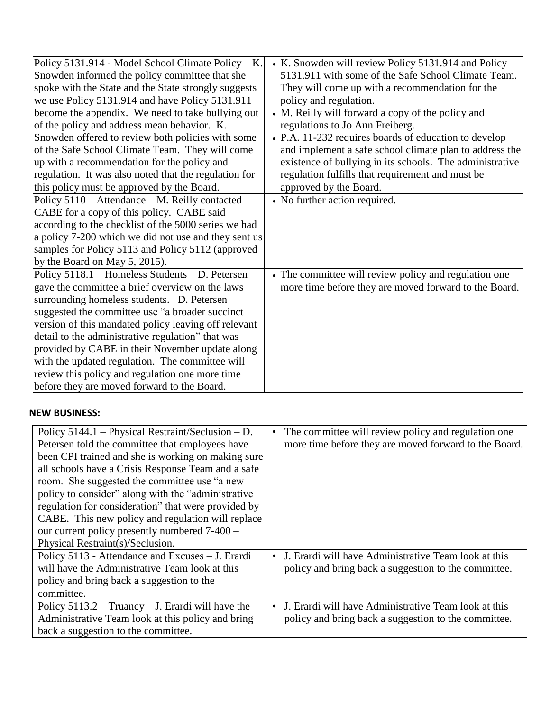| Policy 5131.914 - Model School Climate Policy – K.    | • K. Snowden will review Policy 5131.914 and Policy      |
|-------------------------------------------------------|----------------------------------------------------------|
| Snowden informed the policy committee that she        | 5131.911 with some of the Safe School Climate Team.      |
| spoke with the State and the State strongly suggests  | They will come up with a recommendation for the          |
| we use Policy 5131.914 and have Policy 5131.911       | policy and regulation.                                   |
| become the appendix. We need to take bullying out     | • M. Reilly will forward a copy of the policy and        |
| of the policy and address mean behavior. K.           | regulations to Jo Ann Freiberg.                          |
| Snowden offered to review both policies with some     | • P.A. 11-232 requires boards of education to develop    |
| of the Safe School Climate Team. They will come       | and implement a safe school climate plan to address the  |
| up with a recommendation for the policy and           | existence of bullying in its schools. The administrative |
| regulation. It was also noted that the regulation for | regulation fulfills that requirement and must be         |
| this policy must be approved by the Board.            | approved by the Board.                                   |
| Policy 5110 – Attendance – M. Reilly contacted        | • No further action required.                            |
| CABE for a copy of this policy. CABE said             |                                                          |
| according to the checklist of the 5000 series we had  |                                                          |
| a policy 7-200 which we did not use and they sent us  |                                                          |
| samples for Policy 5113 and Policy 5112 (approved     |                                                          |
| by the Board on May $5$ , 2015).                      |                                                          |
| Policy 5118.1 – Homeless Students – D. Petersen       | • The committee will review policy and regulation one    |
| gave the committee a brief overview on the laws       | more time before they are moved forward to the Board.    |
| surrounding homeless students. D. Petersen            |                                                          |
| suggested the committee use "a broader succinct       |                                                          |
| version of this mandated policy leaving off relevant  |                                                          |
| detail to the administrative regulation" that was     |                                                          |
| provided by CABE in their November update along       |                                                          |
| with the updated regulation. The committee will       |                                                          |
| review this policy and regulation one more time       |                                                          |
| before they are moved forward to the Board.           |                                                          |

## **NEW BUSINESS:**

| Policy $5144.1$ – Physical Restraint/Seclusion – D.  | The committee will review policy and regulation one.<br>$\bullet$ |
|------------------------------------------------------|-------------------------------------------------------------------|
| Petersen told the committee that employees have      | more time before they are moved forward to the Board.             |
| been CPI trained and she is working on making sure   |                                                                   |
| all schools have a Crisis Response Team and a safe   |                                                                   |
| room. She suggested the committee use "a new         |                                                                   |
| policy to consider" along with the "administrative"  |                                                                   |
| regulation for consideration" that were provided by  |                                                                   |
| CABE. This new policy and regulation will replace    |                                                                   |
| our current policy presently numbered $7-400$ –      |                                                                   |
| Physical Restraint(s)/Seclusion.                     |                                                                   |
| Policy 5113 - Attendance and Excuses - J. Erardi     | J. Erardi will have Administrative Team look at this<br>$\bullet$ |
| will have the Administrative Team look at this       | policy and bring back a suggestion to the committee.              |
| policy and bring back a suggestion to the            |                                                                   |
| committee.                                           |                                                                   |
| Policy $5113.2 - Truancy - J$ . Erardi will have the | J. Erardi will have Administrative Team look at this<br>$\bullet$ |
| Administrative Team look at this policy and bring    | policy and bring back a suggestion to the committee.              |
| back a suggestion to the committee.                  |                                                                   |